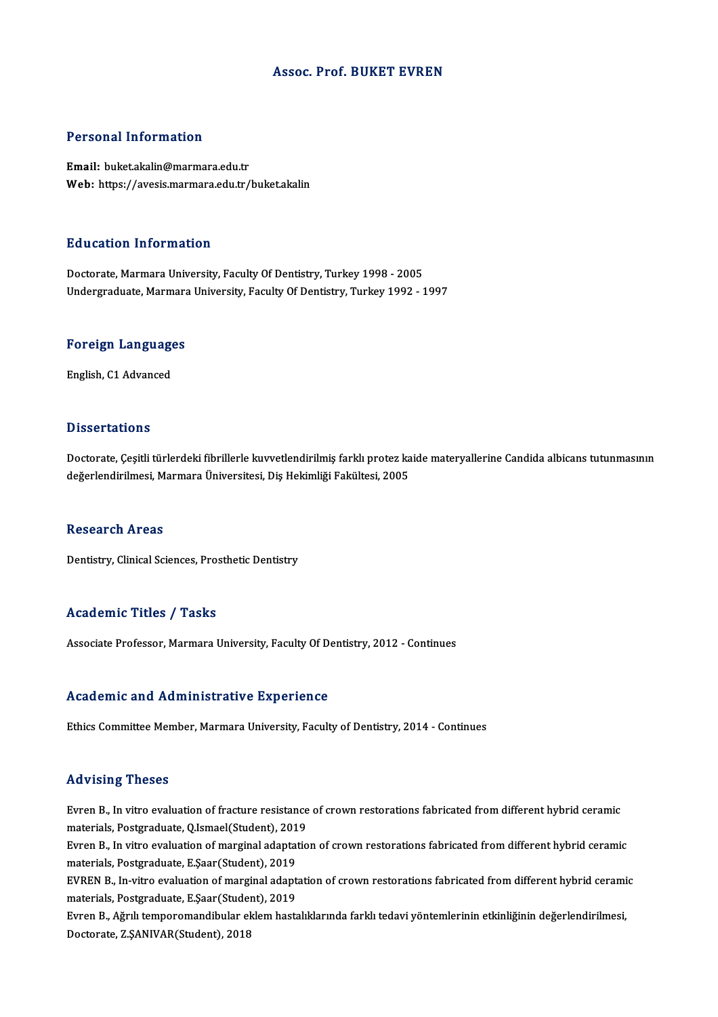#### Assoc. Prof. BUKET EVREN

#### Personal Information

Email: buket.akalin@marmara.edu.tr Web: https://avesis.marmara.edu.tr/buket.akalin

#### Education Information

Doctorate, Marmara University, Faculty Of Dentistry, Turkey 1998 - 2005 Undergraduate, Marmara University, Faculty Of Dentistry, Turkey 1992 - 1997

## <sub>ondergraduate, marmara<br>Foreign Languages</sub> <mark>Foreign Language</mark><br>English, C1 Advanced

English, C1 Advanced<br>Dissertations

Doctorate, Çeşitli türlerdeki fibrillerle kuvvetlendirilmiş farklı protez kaide materyallerine Candida albicans tutunmasının değerlendirilmesi, Marmara Üniversitesi, Diş Hekimliği Fakültesi, 2005

#### Research Areas

Dentistry, Clinical Sciences, Prosthetic Dentistry

#### Academic Titles / Tasks

Associate Professor, Marmara University, Faculty Of Dentistry, 2012 - Continues

#### Academic and Administrative Experience

Ethics Committee Member, Marmara University, Faculty of Dentistry, 2014 - Continues

#### Advising Theses

Advising Theses<br>Evren B., In vitro evaluation of fracture resistance of crown restorations fabricated from different hybrid ceramic<br>materials, Restanduate Olameel(Student), 2019 materials, Presee<br>Evren B., In vitro evaluation of fracture resistance<br>materials, Postgraduate, Q.Ismael(Student), 2019<br>Euron B. In vitro evaluation of marginal adaptatio Evren B., In vitro evaluation of fracture resistance of crown restorations fabricated from different hybrid ceramic<br>materials, Postgraduate, Q.Ismael(Student), 2019<br>Evren B., In vitro evaluation of marginal adaptation of c

materials, Postgraduate, Q.Ismael(Student), 201<br>Evren B., In vitro evaluation of marginal adaptat<br>materials, Postgraduate, E.Şaar(Student), 2019<br>EVREN B. In vitro evaluation of marginal adapt Evren B., In vitro evaluation of marginal adaptation of crown restorations fabricated from different hybrid ceramic<br>materials, Postgraduate, E.Şaar(Student), 2019<br>EVREN B., In-vitro evaluation of marginal adaptation of cro

materials, Postgraduate, E.Şaar(Student), 2019<br>EVREN B., In-vitro evaluation of marginal adapt<br>materials, Postgraduate, E.Şaar(Student), 2019<br>Euron B. Ağrılı tamparamandibular aldam basta EVREN B., In-vitro evaluation of marginal adaptation of crown restorations fabricated from different hybrid ceramic<br>materials, Postgraduate, E.Şaar(Student), 2019<br>Evren B., Ağrılı temporomandibular eklem hastalıklarında fa

Doctorate, Z.ŞANIVAR(Student), 2018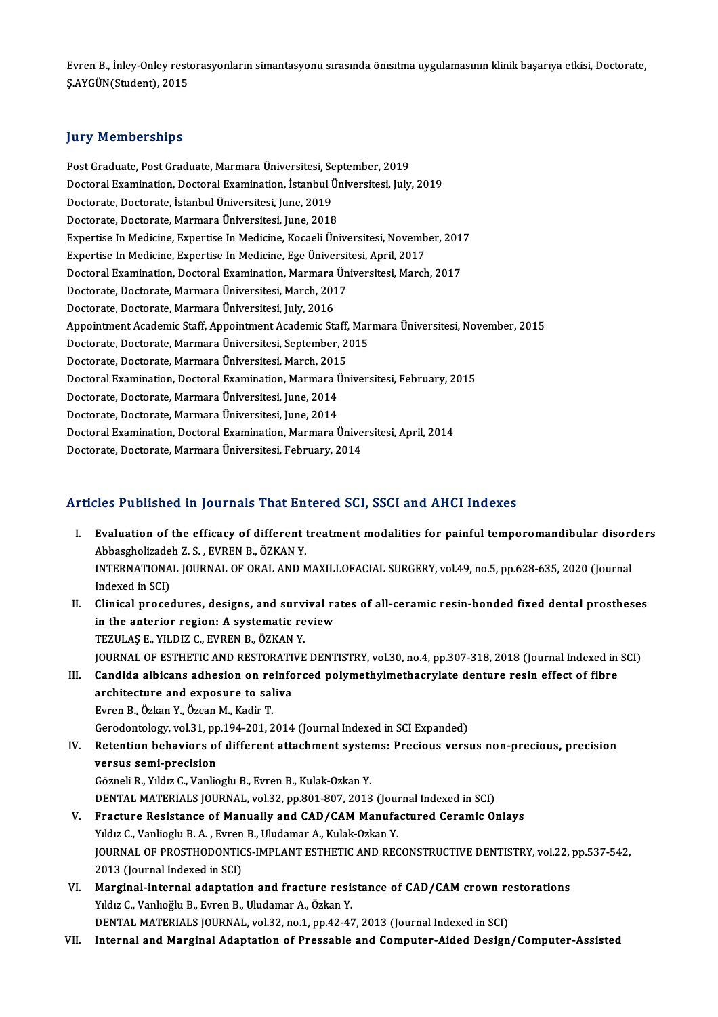Evren B., İnley-Onley restorasyonların simantasyonu sırasında önısıtma uygulamasının klinik başarıya etkisi, Doctorate,<br>S.A.V.CİN/Student), 2015 Evren B., İnley-Onley rest:<br>Ş.AYGÜN(Student), 2015

# Ş.AYGÜN(Student), 2015<br>Jury Memberships

<mark>Jury Memberships</mark><br>Post Graduate, Post Graduate, Marmara Üniversitesi, September, 2019<br>Desterel Examination, Desterel Examination, İstanbul Üniversitesi, July Jury Trommorumpu<br>Post Graduate, Post Graduate, Marmara Üniversitesi, September, 2019<br>Doctoral Examination, Doctoral Examination, İstanbul Üniversitesi, July, 2019<br>Doctorate, Doctorate, İstanbul Üniversitesi, June, 2019 Post Graduate, Post Graduate, Marmara Üniversitesi, Se<br>Doctoral Examination, Doctoral Examination, İstanbul İ<br>Doctorate, Doctorate, İstanbul Üniversitesi, June, 2019<br>Doctorate, Doctorate, Marmara Üniversitesi, June, 2019 Doctoral Examination, Doctoral Examination, İstanbul Ün<br>Doctorate, Doctorate, İstanbul Üniversitesi, June, 2019<br>Doctorate, Doctorate, Marmara Üniversitesi, June, 2018<br>Expertise In Medisine, Expertise In Medisine, Kesseli Ü Doctorate, Doctorate, İstanbul Üniversitesi, June, 2019<br>Doctorate, Doctorate, Marmara Üniversitesi, June, 2018<br>Expertise In Medicine, Expertise In Medicine, Kocaeli Üniversitesi, November, 2017<br>Expertise In Medicine, Exper Doctorate, Doctorate, Marmara Üniversitesi, June, 2018<br>Expertise In Medicine, Expertise In Medicine, Kocaeli Üniversitesi, Novemb<br>Expertise In Medicine, Expertise In Medicine, Ege Üniversitesi, April, 2017<br>Doctoral Examina Expertise In Medicine, Expertise In Medicine, Kocaeli Üniversitesi, November, 201<br>Expertise In Medicine, Expertise In Medicine, Ege Üniversitesi, April, 2017<br>Doctoral Examination, Doctoral Examination, Marmara Üniversitesi Expertise In Medicine, Expertise In Medicine, Ege Üniversit<br>Doctoral Examination, Doctoral Examination, Marmara Ün<br>Doctorate, Doctorate, Marmara Üniversitesi, March, 2017<br>Doctorate, Doctorate, Marmara Üniversitesi, July, 2 Doctoral Examination, Doctoral Examination, Marmara Üniversitesi, March, 2017<br>Doctorate, Doctorate, Marmara Üniversitesi, March, 2017<br>Doctorate, Doctorate, Marmara Üniversitesi, July, 2016 Doctorate, Doctorate, Marmara Üniversitesi, March, 2017<br>Doctorate, Doctorate, Marmara Üniversitesi, July, 2016<br>Appointment Academic Staff, Appointment Academic Staff, Marmara Üniversitesi, November, 2015<br>Doctorate, Doctora Doctorate, Doctorate, Marmara Üniversitesi, July, 2016<br>Appointment Academic Staff, Appointment Academic Staff, Mar<br>Doctorate, Doctorate, Marmara Üniversitesi, September, 2015<br>Doctorate, Doctorate, Marmara Üniversitesi, Mar Appointment Academic Staff, Appointment Academic Staff,<br>Doctorate, Doctorate, Marmara Üniversitesi, September, 2<br>Doctorate, Doctorate, Marmara Üniversitesi, March, 2015<br>Doctoral Examination, Doctoral Examination, Marmara Ü Doctorate, Doctorate, Marmara Üniversitesi, September, 2015<br>Doctorate, Doctorate, Marmara Üniversitesi, March, 2015<br>Doctoral Examination, Doctoral Examination, Marmara Üniversitesi, February, 2015 Doctorate, Doctorate, Marmara Üniversitesi, March, 201<br>Doctoral Examination, Doctoral Examination, Marmara I<br>Doctorate, Doctorate, Marmara Üniversitesi, June, 2014<br>Doctorate, Doctorate, Marmara Üniversitesi, June, 2014 Doctorate, Doctorate, Marmara Üniversitesi, June, 2014<br>Doctorate, Doctorate, Marmara Üniversitesi, June, 2014 Doctorate, Doctorate, Marmara Üniversitesi, June, 2014<br>Doctorate, Doctorate, Marmara Üniversitesi, June, 2014<br>Doctoral Examination, Doctoral Examination, Marmara Üniversitesi, April, 2014<br>Doctorate, Doctorate, Marmara Üniv Doctorate, Doctorate, Marmara Üniversitesi, June, 2014<br>Doctoral Examination, Doctoral Examination, Marmara Ünive<br>Doctorate, Doctorate, Marmara Üniversitesi, February, 2014 Doctorate, Doctorate, Marmara Üniversitesi, February, 2014<br>Articles Published in Journals That Entered SCI, SSCI and AHCI Indexes

- I. Evaluation of the efficacy of different treatment modalities for painful temporomandibular disorders<br>I. Evaluation of the efficacy of different treatment modalities for painful temporomandibular disorders<br>Abbassbalizade Abbasgholizadeh Z.S., EVREN B., ÖZKAN Y.<br>Abbasgholizadeh Z.S., EVREN B., ÖZKAN Y.<br>INTERNATIONAL JOURNAL OF ORAL AND N Evaluation of the efficacy of different treatment modalities for painful temporomandibular disore<br>Abbasgholizadeh Z. S. , EVREN B., ÖZKAN Y.<br>INTERNATIONAL JOURNAL OF ORAL AND MAXILLOFACIAL SURGERY, vol.49, no.5, pp.628-635 Abbasgholizadeh Z. S. , EVREN B., ÖZKAN Y.<br>INTERNATIONAL JOURNAL OF ORAL AND MAXILLOFACIAL SURGERY, vol.49, no.5, pp.628-635, 2020 (Journal<br>Indexed in SCI) INTERNATIONAL JOURNAL OF ORAL AND MAXILLOFACIAL SURGERY, vol.49, no.5, pp.628-635, 2020 (Journal<br>Indexed in SCI)<br>II. Clinical procedures, designs, and survival rates of all-ceramic resin-bonded fixed dental prostheses<br>in t
- Indexed in SCI)<br>Clinical procedures, designs, and survival ra<br>in the anterior region: A systematic review<br>TEZULAS E, VU DIZ C, EVPEN P, ÖZKAN V in the anterior region: A systematic review<br>TEZULAŞ E., YILDIZ C., EVREN B., ÖZKAN Y. JOURNALOF ESTHETICANDRESTORATIVEDENTISTRY,vol.30,no.4,pp.307-318,2018 (Journal Indexed inSCI) TEZULAŞ E., YILDIZ C., EVREN B., ÖZKAN Y.<br>JOURNAL OF ESTHETIC AND RESTORATIVE DENTISTRY, vol.30, no.4, pp.307-318, 2018 (Journal Indexed in<br>III. Candida albicans adhesion on reinforced polymethylmethacrylate denture resin
- JOURNAL OF ESTHETIC AND RESTORATI<br>Candida albicans adhesion on reinfo<br>architecture and exposure to saliva<br>Europ B. Özkan V. Özcan M. Kadir T. Candida albicans adhesion on re<br>architecture and exposure to sal<br>Evren B., Özkan Y., Özcan M., Kadir T.<br>Ceredentelegy vel 21. pp.194.201.2 architecture and exposure to saliva<br>Evren B., Özkan Y., Özcan M., Kadir T.<br>Gerodontology, vol.31, pp.194-201, 2014 (Journal Indexed in SCI Expanded) Evren B., Özkan Y., Özcan M., Kadir T.<br>Gerodontology, vol.31, pp.194-201, 2014 (Journal Indexed in SCI Expanded)<br>IV. Retention behaviors of different attachment systems: Precious versus non-precious, precision<br>versus somi

## Gerodontology, vol.31, pp<br>Retention behaviors of<br>versus semi-precision Retention behaviors of different attachment syster<br>versus semi-precision<br>Gözneli R., Yıldız C., Vanlioglu B., Evren B., Kulak-Ozkan Y.<br>DENTAL MATERIALS JOURNAL, val.32, pp.801,807,2012

versus semi-precision<br>Gözneli R., Yıldız C., Vanlioglu B., Evren B., Kulak-Ozkan Y.<br>DENTAL MATERIALS JOURNAL, vol.32, pp.801-807, 2013 (Journal Indexed in SCI)<br>Enasture Besistanse of Manuelly and CAD/CAM Manufastured Caram Gözneli R., Yıldız C., Vanlioglu B., Evren B., Kulak-Ozkan Y.<br>DENTAL MATERIALS JOURNAL, vol.32, pp.801-807, 2013 (Journal Indexed in SCI)<br>V. Fracture Resistance of Manually and CAD/CAM Manufactured Ceramic Onlays<br>Vidys G.

- DENTAL MATERIALS JOURNAL, vol.32, pp.801-807, 2013 (Journal Fracture Resistance of Manually and CAD/CAM Manufa<br>Yıldız C., Vanlioglu B. A. , Evren B., Uludamar A., Kulak-Ozkan Y.<br>JOUPNAL OF PROSTHODONTICS JMPLANT ESTHETIC A Fracture Resistance of Manually and CAD/CAM Manufactured Ceramic Onlays<br>Yıldız C., Vanlioglu B. A. , Evren B., Uludamar A., Kulak-Ozkan Y.<br>JOURNAL OF PROSTHODONTICS-IMPLANT ESTHETIC AND RECONSTRUCTIVE DENTISTRY, vol.22, pp Yıldız C., Vanlioglu B. A. , Evren<br>JOURNAL OF PROSTHODONTIC<br>2013 (Journal Indexed in SCI)<br>Marginal internal adantatic JOURNAL OF PROSTHODONTICS-IMPLANT ESTHETIC AND RECONSTRUCTIVE DENTISTRY, vol.22,<br>2013 (Journal Indexed in SCI)<br>VI. Marginal-internal adaptation and fracture resistance of CAD/CAM crown restorations<br>Vidus C. Vanligğlu B. Eu
- 2013 (Journal Indexed in SCI)<br>**Marginal-internal adaptation and fracture resi:**<br>Yıldız C., Vanlıoğlu B., Evren B., Uludamar A., Özkan Y.<br>DENTAL MATERIALS JOURNAL, VR132, ng 1.nn 42.43 Marginal-internal adaptation and fracture resistance of CAD/CAM crown re<br>Yıldız C., Vanlıoğlu B., Evren B., Uludamar A., Özkan Y.<br>DENTAL MATERIALS JOURNAL, vol.32, no.1, pp.42-47, 2013 (Journal Indexed in SCI)<br>Internal and Yıldız C., Vanlıoğlu B., Evren B., Uludamar A., Özkan Y.<br>DENTAL MATERIALS JOURNAL, vol.32, no.1, pp.42-47, 2013 (Journal Indexed in SCI)<br>VII. Internal and Marginal Adaptation of Pressable and Computer-Aided Design/Comp
-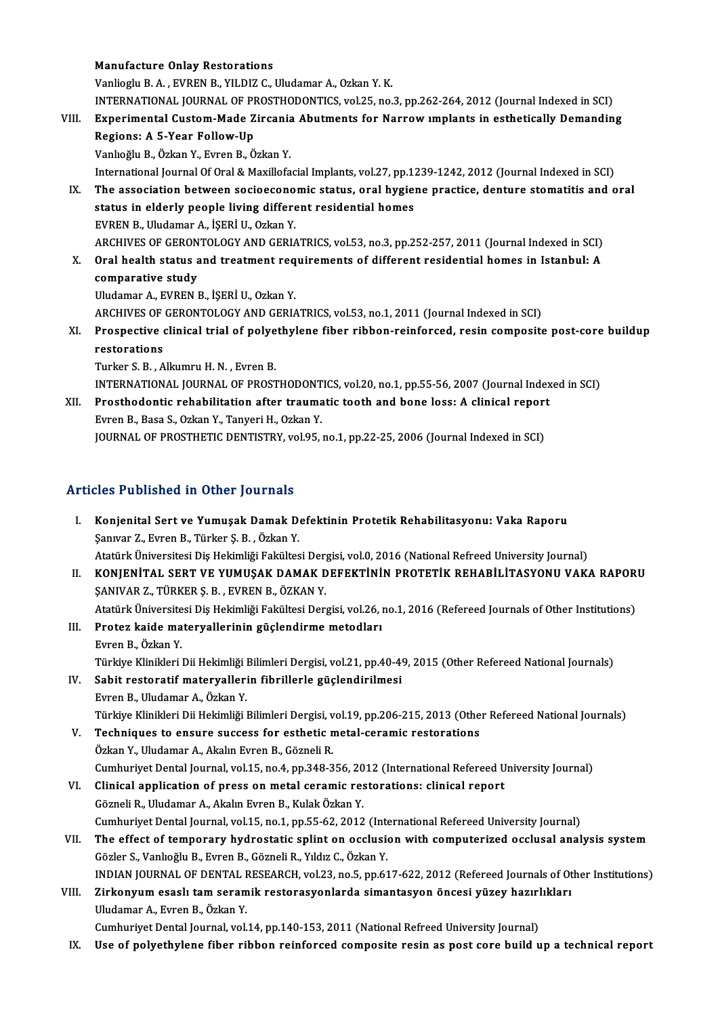#### Manufacture Onlay Restorations

Vanlioglu B. A., EVREN B., YILDIZ C., Uludamar A., Ozkan Y. K.

Manufacture Onlay Restorations<br>Vanlioglu B. A. , EVREN B., YILDIZ C., Uludamar A., Ozkan Y. K.<br>INTERNATIONAL JOURNAL OF PROSTHODONTICS, vol.25, no.3, pp.262-264, 2012 (Journal Indexed in SCI)<br>Eunonimental Custom Mode Zirso

## Vanlioglu B. A. , EVREN B., YILDIZ C., Uludamar A., Ozkan Y. K.<br>INTERNATIONAL JOURNAL OF PROSTHODONTICS, vol.25, no.3, pp.262-264, 2012 (Journal Indexed in SCI)<br>VIII. Experimental Custom-Made Zircania Abutments for Narrow INTERNATIONAL JOURNAL OF P<br>Experimental Custom-Made Z<br>Regions: A 5-Year Follow-Up<br>Vanligğlu B. Özkan V. Evrop B. Ö Experimental Custom-Made Zircania<br>Regions: A 5-Year Follow-Up<br>Vanlıoğlu B., Özkan Y., Evren B., Özkan Y.<br>International Journal Of Oral & Maxillefa Regions: A 5-Year Follow-Up<br>Vanlıoğlu B., Özkan Y., Evren B., Özkan Y.<br>International Journal Of Oral & Maxillofacial Implants, vol.27, pp.1239-1242, 2012 (Journal Indexed in SCI)<br>The association between sesioesenomis statu

- Vanlıoğlu B., Özkan Y., Evren B., Özkan Y.<br>International Journal Of Oral & Maxillofacial Implants, vol.27, pp.1239-1242, 2012 (Journal Indexed in SCI)<br>IX. The association between socioeconomic status, oral hygiene practice International Journal Of Oral & Maxillofacial Implants, vol.27, pp.1.<br>The association between socioeconomic status, oral hygie:<br>status in elderly people living different residential homes<br>EVREN R. Hudamar A. iSERLU, Orkan The association between socioecono<br>status in elderly people living differe<br>EVREN B., Uludamar A., İŞERİ U., Ozkan Y.<br>ARCHIVES OF CERONTOLOCY AND CERLA status in elderly people living different residential homes<br>EVREN B., Uludamar A., İŞERİ U., Ozkan Y.<br>ARCHIVES OF GERONTOLOGY AND GERIATRICS, vol.53, no.3, pp.252-257, 2011 (Journal Indexed in SCI)<br>Oral bealth status and t
- EVREN B., Uludamar A., İŞERİ U., Ozkan Y.<br>ARCHIVES OF GERONTOLOGY AND GERIATRICS, vol.53, no.3, pp.252-257, 2011 (Journal Indexed in SCI)<br>X. Oral health status and treatment requirements of different residential homes in I ARCHIVES OF GERON<br>Oral health status a<br>comparative study<br>Illudamar A EVPEN I

Uludamar A., EVREN B., İŞERİ U., Ozkan Y. comparative study<br>Uludamar A., EVREN B., İŞERİ U., Ozkan Y.<br>ARCHIVES OF GERONTOLOGY AND GERIATRICS, vol.53, no.1, 2011 (Journal Indexed in SCI)<br>Prespective elinisel trial of polyethylene fiber ribber, reinfersed, resin sem

Uludamar A., EVREN B., İŞERİ U., Ozkan Y.<br>ARCHIVES OF GERONTOLOGY AND GERIATRICS, vol.53, no.1, 2011 (Journal Indexed in SCI)<br>XI. Prospective clinical trial of polyethylene fiber ribbon-reinforced, resin composite post ARCHIVES OF<br>Prospective<br>restorations<br>Turker S. B. A Prospective clinical trial of polye<br>restorations<br>Turker S. B. , Alkumru H. N. , Evren B.<br>INTERNATIONAL JOURNAL OF PROST

restorations<br>Turker S. B. , Alkumru H. N. , Evren B.<br>INTERNATIONAL JOURNAL OF PROSTHODONTICS, vol.20, no.1, pp.55-56, 2007 (Journal Indexed in SCI)<br>Presthedentis rebebilitation efter treumatis teeth and bene less: A slinis Turker S. B. , Alkumru H. N. , Evren B.<br>INTERNATIONAL JOURNAL OF PROSTHODONTICS, vol.20, no.1, pp.55-56, 2007 (Journal Index<br>XII. Prosthodontic rehabilitation after traumatic tooth and bone loss: A clinical report<br>Finan B.

INTERNATIONAL JOURNAL OF PROSTHODONT<br>Prosthodontic rehabilitation after trauma<br>Evren B., Basa S., Ozkan Y., Tanyeri H., Ozkan Y.<br>JOUPNAL OF PROSTHETIC DENTISTPY vol 95 Prosthodontic rehabilitation after traumatic tooth and bone loss: A clinical report<br>Evren B., Basa S., Ozkan Y., Tanyeri H., Ozkan Y.<br>JOURNAL OF PROSTHETIC DENTISTRY, vol.95, no.1, pp.22-25, 2006 (Journal Indexed in SCI)

# JOURNAL OF PROSTHETIC DENTISTRY, vol.95, no.1, pp.22-25, 2006 (Journal Indexed in SCI)<br>Articles Published in Other Journals

- rticles Published in Other Journals<br>I. Konjenital Sert ve Yumuşak Damak Defektinin Protetik Rehabilitasyonu: Vaka Raporu<br>Sanyar <sup>7</sup>, Eurer B. Türker S. B. Özkar Y Soo - dononcd in Gener Journale<br>Konjenital Sert ve Yumuşak Damak D<br>Şanıvar Z., Evren B., Türker Ş. B. , Özkan Y. Konjenital Sert ve Yumuşak Damak Defektinin Protetik Rehabilitasyonu: Vaka Raporu<br>Şanıvar Z., Evren B., Türker Ş. B. , Özkan Y.<br>Atatürk Üniversitesi Diş Hekimliği Fakültesi Dergisi, vol.0, 2016 (National Refreed University Şanıvar Z., Evren B., Türker Ş. B. , Özkan Y.<br>Atatürk Üniversitesi Diş Hekimliği Fakültesi Dergisi, vol.0, 2016 (National Refreed University Journal)<br>II. KONJENİTAL SERT VE YUMUŞAK DAMAK DEFEKTİNİN PROTETİK REHABİLİTAS
- Atatürk Üniversitesi Diş Hekimliği Fakültesi Der<sub>i</sub><br>KONJENİTAL SERT VE YUMUŞAK DAMAK D<br>ŞANIVAR Z., TÜRKER Ş. B. , EVREN B., ÖZKAN Y.<br>Atatürk Üniversitesi Dis Hekimliği Fekültesi Deri KONJENİTAL SERT VE YUMUŞAK DAMAK DEFEKTİNİN PROTETİK REHABİLİTASYONU VAKA RAPOR<br>ŞANIVAR Z., TÜRKER Ş. B. , EVREN B., ÖZKAN Y.<br>Atatürk Üniversitesi Diş Hekimliği Fakültesi Dergisi, vol.26, no.1, 2016 (Refereed Journals of O Atatürk Üniversitesi Diş Hekimliği Fakültesi Dergisi, vol.26, no.1, 2016 (Refereed Journals of Other Institutions)
- ŞANIVAR Z., TÜRKER Ş. B. , EVREN B., ÖZKAN Y.<br>Atatürk Üniversitesi Diş Hekimliği Fakültesi Dergisi, vol.26, ı<br>III. Protez kaide materyallerinin güçlendirme metodları<br>Evren B.. Özkan Y. Protez kaide materyallerinin güçlendirme metodları<br>Evren B., Özkan Y.<br>Türkiye Klinikleri Dii Hekimliği Bilimleri Dergisi, vol.21, pp.40-49, 2015 (Other Refereed National Journals)<br>Sebit nesteretif metervallerin fibrillerle
- IV. Sabit restoratif materyallerin fibrillerle güçlendirilmesi<br>Evren B., Uludamar A., Özkan Y. Türkiye Klinikleri Dii Hekimliği I<br>Sabit restoratif materyalleri<br>Evren B., Uludamar A., Özkan Y.<br>Türkiye Klinikleri Dii Hekimliği I Türkiye Klinikleri Dii Hekimliği Bilimleri Dergisi, vol.19, pp.206-215, 2013 (Other Refereed National Journals) Evren B., Uludamar A., Özkan Y.<br>Türkiye Klinikleri Dii Hekimliği Bilimleri Dergisi, vol.19, pp.206-215, 2013 (Othe<br>V. Techniques to ensure success for esthetic metal-ceramic restorations<br>Özkan Y. Uludamar A. Akalın Euron B
- Türkiye Klinikleri Dii Hekimliği Bilimleri Dergisi, v<br>Techniques to ensure success for esthetic n<br>Özkan Y., Uludamar A., Akalın Evren B., Gözneli R.<br>Cumburiyat Dental Journal, val 15, ne 4, np 248-2 Techniques to ensure success for esthetic metal-ceramic restorations<br>Özkan Y., Uludamar A., Akalın Evren B., Gözneli R.<br>Cumhuriyet Dental Journal, vol.15, no.4, pp.348-356, 2012 (International Refereed University Journal)<br> Özkan Y., Uludamar A., Akalın Evren B., Gözneli R.<br>Cumhuriyet Dental Journal, vol.15, no.4, pp.348-356, 2012 (International Refereed U<br>VI. Clinical application of press on metal ceramic restorations: clinical report<br>Göznel
- Cumhuriyet Dental Journal, vol.15, no.4, pp.348-356, 20<br>Clinical application of press on metal ceramic res<br>Gözneli R., Uludamar A., Akalın Evren B., Kulak Özkan Y.<br>Cumburiyet Dental Journal vol.15, no.1, np.55, 62, 2012 Cumhuriyet Dental Journal, vol.15, no.1, pp.55-62, 2012 (International Refereed University Journal) Gözneli R., Uludamar A., Akalın Evren B., Kulak Özkan Y.<br>Cumhuriyet Dental Journal, vol.15, no.1, pp.55-62, 2012 (International Refereed University Journal)<br>VII. The effect of temporary hydrostatic splint on occlusion with
- Cumhuriyet Dental Journal, vol.15, no.1, pp.55-62, 2012 (International The effect of temporary hydrostatic splint on occlusional Gözler S., Vanlıoğlu B., Evren B., Gözneli R., Yıldız C., Özkan Y.<br>Ninlan Joupnal OF DENTAL P The effect of temporary hydrostatic splint on occlusion with computerized occlusal analysis system<br>Gözler S., Vanlıoğlu B., Evren B., Gözneli R., Yıldız C., Özkan Y.<br>INDIAN JOURNAL OF DENTAL RESEARCH, vol.23, no.5, pp.617-Gözler S., Vanlıoğlu B., Evren B., Gözneli R., Yıldız C., Özkan Y.<br>INDIAN JOURNAL OF DENTAL RESEARCH, vol.23, no.5, pp.617-622, 2012 (Refereed Journals of Ot<br>VIII. Zirkonyum esaslı tam seramik restorasyonlarda simantas
- INDIAN JOURNAL OF DENTAL RESEARCH, vol.23, no.5, pp.617-622, 2012 (Refereed Journals of Other Institutions)<br>Zirkonyum esaslı tam seramik restorasyonlarda simantasyon öncesi yüzey hazırlıkları<br>Uludamar A., Evren B., Özkan Y Zirkonyum esaslı tam seramik restorasyonlarda simantasyon öncesi yüzey hazırl<br>Uludamar A., Evren B., Özkan Y.<br>Cumhuriyet Dental Journal, vol.14, pp.140-153, 2011 (National Refreed University Journal)<br>Hae of nalvethylene fi
- IX. Use of polyethylene fiber ribbon reinforced composite resin as post core build up a technical report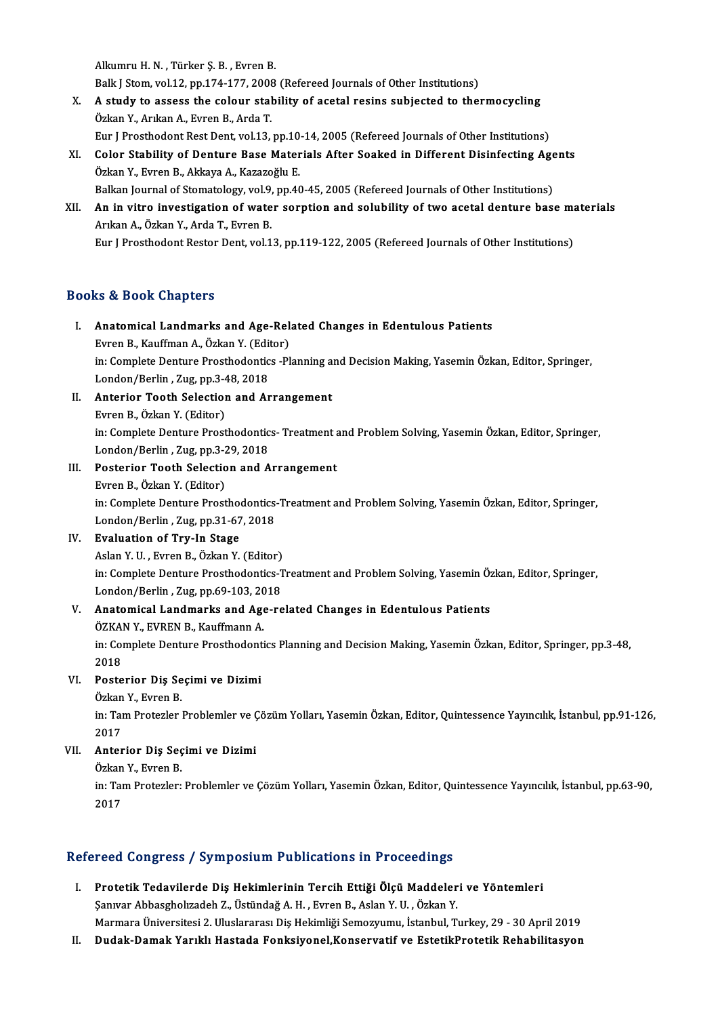AlkumruH.N. ,Türker Ş.B. ,EvrenB.

Balk J Stom, vol.12, pp.174-177, 2008 (Refereed Journals of Other Institutions)

X. A study to assess the colour stability of acetal resins subjected to thermocycling ÖzkanY.,ArıkanA.,EvrenB.,ArdaT.

Eur J Prosthodont Rest Dent, vol.13, pp.10-14, 2005 (Refereed Journals of Other Institutions)

Özkan Y., Arıkan A., Evren B., Arda T.<br>Eur J Prosthodont Rest Dent, vol.13, pp.10-14, 2005 (Refereed Journals of Other Institutions)<br>XI. Color Stability of Denture Base Materials After Soaked in Different Disinfecting Agen Özkan Y., Evren B., Akkaya A., Kazazoğlu E.<br>Balkan Journal of Stomatology, vol.9, pp.40-45, 2005 (Refereed Journals of Other Institutions) Color Stability of Denture Base Materials After Soaked in Different Disinfecting Age<br>Özkan Y., Evren B., Akkaya A., Kazazoğlu E.<br>Balkan Journal of Stomatology, vol.9, pp.40-45, 2005 (Refereed Journals of Other Institutions

Özkan Y., Evren B., Akkaya A., Kazazoğlu E.<br>Balkan Journal of Stomatology, vol.9, pp.40-45, 2005 (Refereed Journals of Other Institutions)<br>XII. An in vitro investigation of water sorption and solubility of two acetal d Balkan Journal of Stomatology, vol.9,<br>**An in vitro investigation of wate**<br>Arıkan A., Özkan Y., Arda T., Evren B.<br>Eur I Presthedent Bester Dent vol.1 Arıkan A., Özkan Y., Arda T., Evren B.<br>Eur J Prosthodont Restor Dent, vol.13, pp.119-122, 2005 (Refereed Journals of Other Institutions)

### Books&Book Chapters

- I. Anatomical Landmarks and Age-Related Changes in Edentulous Patients Even B., Kauffreen<br>Anatomical Landmarks and Age-Rel<br>Evren B., Kauffman A., Özkan Y. (Editor)<br>in: Complete Denture Presthedentics, Pl in: Complete Denture Prosthodontics -Planning and Decision Making, Yasemin Özkan, Editor, Springer, London/Berlin, Zug, pp.3-48, 2018 Evren B., Kauffman A., Özkan Y. (Edit<br>in: Complete Denture Prosthodontic<br>London/Berlin , Zug, pp.3-48, 2018 in: Complete Denture Prosthodontics -Planning a<br>London/Berlin , Zug, pp.3-48, 2018<br>II. Anterior Tooth Selection and Arrangement<br>Europ B. Özkan V. (Editor)
- London/Berlin , Zug, pp.3-4<br><mark>Anterior Tooth Selectior</mark><br>Evren B., Özkan Y. (Editor)<br>in: Complete Denture Brest Anterior Tooth Selection and Arrangement<br>Evren B., Özkan Y. (Editor)<br>in: Complete Denture Prosthodontics- Treatment and Problem Solving, Yasemin Özkan, Editor, Springer,<br>Landan/Perlin, Zug nn 2, 20, 2019 Evren B., Özkan Y. (Editor)<br>in: Complete Denture Prosthodontic<br>London/Berlin , Zug, pp.3-29, 2018<br>Besterier Teeth Selestien and A in: Complete Denture Prosthodontics- Treatment a<br>London/Berlin , Zug, pp.3-29, 2018<br>III. Posterior Tooth Selection and Arrangement<br>Europ B. Özkan Y. (Editor)
- London/Berlin, Zug, pp.3-29, 2018<br>III. Posterior Tooth Selection and Arrangement<br>Evren B., Özkan Y. (Editor) Posterior Tooth Selection and Arrangement<br>Evren B., Özkan Y. (Editor)<br>in: Complete Denture Prosthodontics-Treatment and Problem Solving, Yasemin Özkan, Editor, Springer,<br>Landan/Parlin, Zug nn 21, 67, 2019 Evren B., Özkan Y. (Editor)<br>in: Complete Denture Prosthodontics<br>London/Berlin , Zug, pp.31-67, 2018<br>Evaluation of Tru In Stage in: Complete Denture Prostho<br>London/Berlin , Zug, pp.31-67<br>IV. Evaluation of Try-In Stage
- London/Berlin , Zug, pp.31-67, 2018<br>IV. Evaluation of Try-In Stage<br>Aslan Y. U. , Evren B., Özkan Y. (Editor) Evaluation of Try-In Stage<br>Aslan Y. U. , Evren B., Özkan Y. (Editor)<br>in: Complete Denture Prosthodontics-Treatment and Problem Solving, Yasemin Özkan, Editor, Springer,<br>Landan/Parlin, Zug nn 60,102,2019 Aslan Y. U. , Evren B., Özkan Y. (Editor)<br>in: Complete Denture Prosthodontics-T<br>London/Berlin , Zug, pp.69-103, 2018<br>Anatomisal Landmarks and Age re in: Complete Denture Prosthodontics-Treatment and Problem Solving, Yasemin Öz<br>London/Berlin , Zug, pp.69-103, 2018<br>V. Anatomical Landmarks and Age-related Changes in Edentulous Patients<br>ÖZKAN V. EVREN B. Kouffmann A London/Berlin, Zug, pp.69-103, 2018<br>V. Anatomical Landmarks and Age-related Changes in Edentulous Patients

## in: Complete Denture Prosthodontics Planning and Decision Making, Yasemin Özkan, Editor, Springer, pp.3-48,<br>2018 ÖZKAN Y., EVREN B., Kauffmann A. in: Complete Denture Prosthodont<br>2018<br>VI. Posterior Diş Seçimi ve Dizimi<br>Örkən V. Euron B

## 2018<br>Posterior Diş Se<br>Özkan Y., Evren B.<br>in: Tam Proteglar

Posterior Diş Seçimi ve Dizimi<br>Özkan Y., Evren B.<br>in: Tam Protezler Problemler ve Çözüm Yolları, Yasemin Özkan, Editor, Quintessence Yayıncılık, İstanbul, pp.91-126, Özkan<br>in: Tai<br>2017 in: Tam Protezler Problemler ve (2017)<br>VII. **Anterior Diş Seçimi ve Dizimi**<br>Özlen V. Evren B 2017<br><mark>Anterior Diş Seç</mark><br>Özkan Y., Evren B.<br>in: Tam Protegları

Anterior Diş Seçimi ve Dizimi<br>Özkan Y., Evren B.<br>in: Tam Protezler: Problemler ve Çözüm Yolları, Yasemin Özkan, Editor, Quintessence Yayıncılık, İstanbul, pp.63-90, Özkan<br>in: Taı<br>2017

# 2017<br>Refereed Congress / Symposium Publications in Proceedings

- I. Protetik Tedavilerde Diş Hekimlerinin Tercih Ettiği Ölçü Maddeleri ve Yöntemleri Şanıvar Abbasgholızadeh Z., Üstündağ A.H., Evren B., Aslan Y.U., Özkan Y. Protetik Tedavilerde Diş Hekimlerinin Tercih Ettiği Ölçü Maddeleri ve Yöntemleri<br>Şanıvar Abbasgholızadeh Z., Üstündağ A. H. , Evren B., Aslan Y. U. , Özkan Y.<br>Marmara Üniversitesi 2. Uluslararası Diş Hekimliği Semozyumu, İ Şanıvar Abbasgholızadeh Z., Üstündağ A. H. , Evren B., Aslan Y. U. , Özkan Y.<br>Marmara Üniversitesi 2. Uluslararası Diş Hekimliği Semozyumu, İstanbul, Turkey, 29 - 30 April 2019<br>II. Dudak-Damak Yarıklı Hastada Fonksiyon
-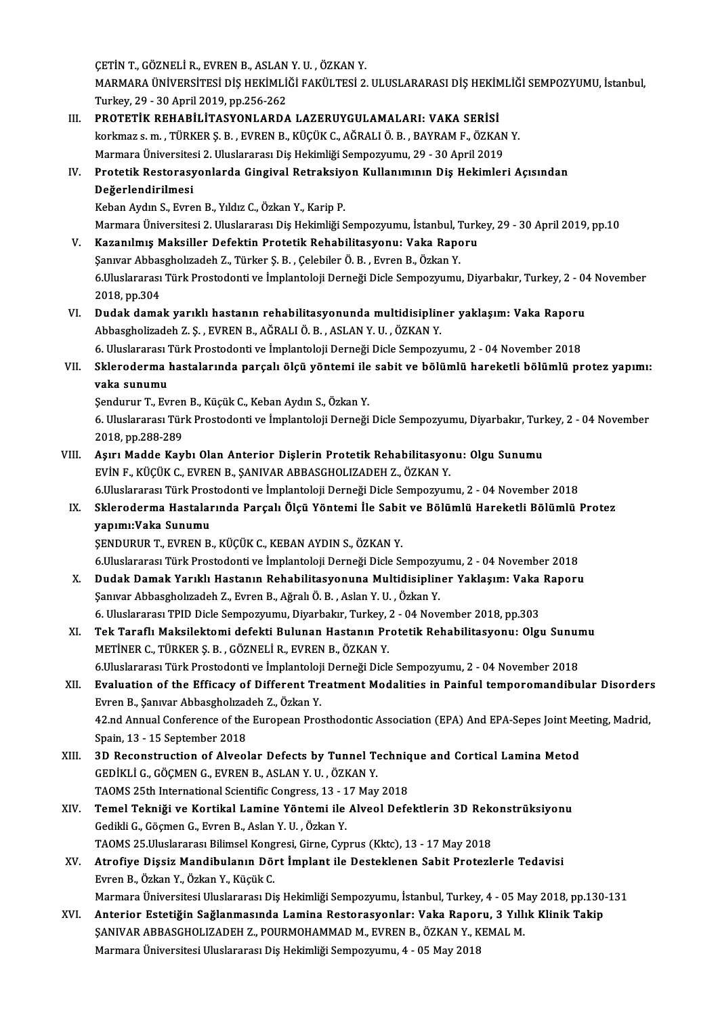ÇETİNT.,GÖZNELİR.,EVRENB.,ASLANY.U. ,ÖZKANY.

ÇETİN T., GÖZNELİ R., EVREN B., ASLAN Y. U. , ÖZKAN Y.<br>MARMARA ÜNİVERSİTESİ DİŞ HEKİMLİĞİ FAKÜLTESİ 2. ULUSLARARASI DİŞ HEKİMLİĞİ SEMPOZYUMU, İstanbul,<br>Turkay, 20,, 20, April 2010, pp.256,262 ÇETİN T., GÖZNELİ R., EVREN B., ASLAN<br>MARMARA ÜNİVERSİTESİ DİŞ HEKİMLİ<br>Turkey, 29 - 30 April 2019, pp.256-262<br>PROTETİK BEHABLI İTASYONI ARDA MARMARA ÜNİVERSİTESİ DİŞ HEKİMLİĞİ FAKÜLTESİ 2. ULUSLARARASI DİŞ HEKİM<br>Turkey, 29 - 30 April 2019, pp.256-262<br>III. PROTETİK REHABİLİTASYONLARDA LAZERUYGULAMALARI: VAKA SERİSİ

Turkey, 29 - 30 April 2019, pp.256-262<br><mark>PROTETİK REHABİLİTASYONLARDA LAZERUYGULAMALARI: VAKA SERİSİ</mark><br>korkmaz s. m. , TÜRKER Ş. B. , EVREN B., KÜÇÜK C., AĞRALI Ö. B. , BAYRAM F., ÖZKAN Y.<br>Marmara Üniversitesi 2. Uluslararas PROTETİK REHABİLİTASYONLARDA LAZERUYGULAMALARI: VAKA SERİSİ<br>korkmaz s. m. , TÜRKER Ş. B. , EVREN B., KÜÇÜK C., AĞRALI Ö. B. , BAYRAM F., ÖZKAN<br>Marmara Üniversitesi 2. Uluslararası Diş Hekimliği Sempozyumu, 29 - 30 April 20 korkmaz s. m. , TÜRKER Ş. B. , EVREN B., KÜÇÜK C., AĞRALI Ö. B. , BAYRAM F., ÖZKAN Y.<br>Marmara Üniversitesi 2. Uluslararası Diş Hekimliği Sempozyumu, 29 - 30 April 2019<br>IV. Protetik Restorasyonlarda Gingival Retraksiyon Marmara Üniversites<br>Protetik Restorasy<br>Değerlendirilmesi<br>Koban Avdun S. Erma Protetik Restorasyonlarda Gingival Retraksiye<br>Değerlendirilmesi<br>Keban Aydın S., Evren B., Yıldız C., Özkan Y., Karip P.<br>Marmara Üniversitesi 2. Uluslararası Dis Helsimliği S De<mark>ğerlendirilmesi</mark><br>Keban Aydın S., Evren B., Yıldız C., Özkan Y., Karip P.<br>Marmara Üniversitesi 2. Uluslararası Diş Hekimliği Sempozyumu, İstanbul, Turkey, 29 - 30 April 2019, pp.10<br>Karanılmış Maksiller Defektin Pretetik Keban Aydın S., Evren B., Yıldız C., Özkan Y., Karip P.<br>Marmara Üniversitesi 2. Uluslararası Diş Hekimliği Sempozyumu, İstanbul, Turk<br>V. Kazanılmış Maksiller Defektin Protetik Rehabilitasyonu: Vaka Raporu<br>Sanyar Abbasahely Marmara Üniversitesi 2. Uluslararası Diş Hekimliği Sempozyumu, İstanbul, 1<br>**Kazanılmış Maksiller Defektin Protetik Rehabilitasyonu: Vaka Rap**c<br>Şanıvar Abbasgholızadeh Z., Türker Ş. B. , Çelebiler Ö. B. , Evren B., Özkan Y. Kazanılmış Maksiller Defektin Protetik Rehabilitasyonu: Vaka Raporu<br>Şanıvar Abbasgholızadeh Z., Türker Ş. B. , Çelebiler Ö. B. , Evren B., Özkan Y.<br>6.Uluslararası Türk Prostodonti ve İmplantoloji Derneği Dicle Sempozyumu, 2018,pp.304 6.Uluslararası Türk Prostodonti ve İmplantoloji Derneği Dicle Sempozyumu, Diyarbakır, Turkey, 2 - 04<br>2018, pp.304<br>VI. Dudak damak yarıklı hastanın rehabilitasyonunda multidisipliner yaklaşım: Vaka Raporu<br>Abbasshelindeb Z.S 2018, pp.304<br><mark>Dudak damak yarıklı hastanın rehabilitasyonunda multidisiplin</mark><br>Abbasgholizadeh Z. Ş. , EVREN B., AĞRALI Ö. B. , ASLAN Y. U. , ÖZKAN Y.<br>6. Uluslaranes: Türk Prestedenti ve İmplanteleji Derneği Disle Semneru Dudak damak yarıklı hastanın rehabilitasyonunda multidisipliner yaklaşım: Vaka Raporu<br>Abbasgholizadeh Z. Ş. , EVREN B., AĞRALI Ö. B. , ASLAN Y. U. , ÖZKAN Y.<br>6. Uluslararası Türk Prostodonti ve İmplantoloji Derneği Dicle S Abbasgholizadeh Z. Ş. , EVREN B., AĞRALI Ö. B. , ASLAN Y. U. , ÖZKAN Y.<br>6. Uluslararası Türk Prostodonti ve İmplantoloji Derneği Dicle Sempozyumu, 2 - 04 November 2018<br>11. Skleroderma hastalarında parçalı ölçü yöntemi ile 6. Uluslararası <sup>1</sup><br>Skleroderma l<br>vaka sunumu<br><sup>Sondumum T. Ev</sup> Skleroderma hastalarında parçalı ölçü yöntemi ile<br>vaka sunumu<br>Şendurur T., Evren B., Küçük C., Keban Aydın S., Özkan Y.<br>6. Uluslaranov Türk Prestedenti ve İmplantaleji Derneği **vaka sunumu**<br>Şendurur T., Evren B., Küçük C., Keban Aydın S., Özkan Y.<br>6. Uluslararası Türk Prostodonti ve İmplantoloji Derneği Dicle Sempozyumu, Diyarbakır, Turkey, 2 - 04 November<br>2018, pp.288-289 Şendurur T., Evren B., Küçük C., Keban Aydın S., Özkan Y. 6. Uluslararası Türk Prostodonti ve İmplantoloji Derneği Dicle Sempozyumu, Diyarbakır, Turl<br>2018, pp.288-289<br>VIII. — Aşırı Madde Kaybı Olan Anterior Dişlerin Protetik Rehabilitasyonu: Olgu Sunumu<br>EVIN ELKİCÜK CUREN BUSANIY 2018, pp.288-289<br>Aşırı Madde Kaybı Olan Anterior Dişlerin Protetik Rehabilitasyor<br>EVİN F., KÜÇÜK C., EVREN B., ŞANIVAR ABBASGHOLIZADEH Z., ÖZKAN Y.<br>6 Uluslararası Türk Prestedenti ve İmplanteleji Derneği Disle Semnezuun Aşırı Madde Kaybı Olan Anterior Dişlerin Protetik Rehabilitasyonu: Olgu Sunumu<br>EVİN F., KÜÇÜK C., EVREN B., ŞANIVAR ABBASGHOLIZADEH Z., ÖZKAN Y.<br>6.Uluslararası Türk Prostodonti ve İmplantoloji Derneği Dicle Sempozyumu, 2 -EVİN F., KÜÇÜK C., EVREN B., ŞANIVAR ABBASGHOLIZADEH Z., ÖZKAN Y.<br>6.Uluslararası Türk Prostodonti ve İmplantoloji Derneği Dicle Sempozyumu, 2 - 04 November 2018<br>IX. Skleroderma Hastalarında Parçalı Ölçü Yöntemi İle Sab 6.Uluslararası Türk Pros<br>Skleroderma Hastalar<br>yapımı:Vaka Sunumu<br>sennupup T. EVPEN P ŞENDURURT.,EVRENB.,KÜÇÜKC.,KEBANAYDINS.,ÖZKANY. yapımı:Vaka Sunumu<br>ŞENDURUR T., EVREN B., KÜÇÜK C., KEBAN AYDIN S., ÖZKAN Y.<br>6.Uluslararası Türk Prostodonti ve İmplantoloji Derneği Dicle Sempozyumu, 2 - 04 November 2018<br>Dudak Demak Yarıklı Hastanın Bababilitasyonuna Mul SENDURUR T., EVREN B., KÜÇÜK C., KEBAN AYDIN S., ÖZKAN Y.<br>6.Uluslararası Türk Prostodonti ve İmplantoloji Derneği Dicle Sempozyumu, 2 - 04 November 2018<br>X. Dudak Damak Yarıklı Hastanın Rehabilitasyonuna Multidisipliner Yak 6.Uluslararası Türk Prostodonti ve İmplantoloji Derneği Dicle Sempozyı<br>Dudak Damak Yarıklı Hastanın Rehabilitasyonuna Multidisiplin<br>Şanıvar Abbasgholızadeh Z., Evren B., Ağralı Ö. B. , Aslan Y. U. , Özkan Y.<br>6. Uluslararas Dudak Damak Yarıklı Hastanın Rehabilitasyonuna Multidisipliner Yaklaşım: Vaka<br>Şanıvar Abbasgholızadeh Z., Evren B., Ağralı Ö. B. , Aslan Y. U. , Özkan Y.<br>6. Uluslararası TPID Dicle Sempozyumu, Diyarbakır, Turkey, 2 - 04 No Şanıvar Abbasgholızadeh Z., Evren B., Ağralı Ö. B. , Aslan Y. U. , Özkan Y.<br>6. Uluslararası TPID Dicle Sempozyumu, Diyarbakır, Turkey, 2 - 04 November 2018, pp.303<br>XI. Tek Taraflı Maksilektomi defekti Bulunan Hastanın 6. Uluslararası TPID Dicle Sempozyumu, Diyarbakır, Turkey, .<br>Tek Taraflı Maksilektomi defekti Bulunan Hastanın Pr<br>METİNER C., TÜRKER Ş. B. , GÖZNELİ R., EVREN B., ÖZKAN Y.<br>6 Uluslararası Türk Prestedenti ve İmplantalaji De Tek Taraflı Maksilektomi defekti Bulunan Hastanın Protetik Rehabilitasyonu: Olgu Sunur<br>METİNER C., TÜRKER Ş. B. , GÖZNELİ R., EVREN B., ÖZKAN Y.<br>6.Uluslararası Türk Prostodonti ve İmplantoloji Derneği Dicle Sempozyumu, 2 -METINER C., TÜRKER Ş. B. , GÖZNELİ R., EVREN B., ÖZKAN Y.<br>6.Uluslararası Türk Prostodonti ve İmplantoloji Derneği Dicle Sempozyumu, 2 - 04 November 2018<br>XII. Evaluation of the Efficacy of Different Treatment Modalities 6. Uluslararası Türk Prostodonti ve İmplantoloji Derneği Dicle Sempozyumu, 2 - 04 November 2018 Evaluation of the Efficacy of Different Treatment Modalities in Painful temporomandibular Disorder:<br>Evren B., Şanıvar Abbasgholızadeh Z., Özkan Y.<br>42.nd Annual Conference of the European Prosthodontic Association (EPA) And Evren B., Şanıvar Abbasgholızad<br>42.nd Annual Conference of the<br>Spain, 13 - 15 September 2018<br><sup>2</sup>D Besenstrustion of Alveol 42.nd Annual Conference of the European Prosthodontic Association (EPA) And EPA-Sepes Joint Me<br>Spain, 13 - 15 September 2018<br>XIII. 3D Reconstruction of Alveolar Defects by Tunnel Technique and Cortical Lamina Metod<br>CEDIVI Spain, 13 - 15 September 2018<br>3D Reconstruction of Alveolar Defects by Tunnel Technique and Cortical Lamina Metod<br>GEDİKLİ G., GÖÇMEN G., EVREN B., ASLAN Y. U. , ÖZKAN Y. 3D Reconstruction of Alveolar Defects by Tunnel Techniq<br>GEDİKLİ G., GÖÇMEN G., EVREN B., ASLAN Y. U. , ÖZKAN Y.<br>TAOMS 25th International Scientific Congress, 13 - 17 May 2018<br>Tamel Tekniği ve Kartikal Lamine Väntemi ile Al GEDİKLİ G., GÖÇMEN G., EVREN B., ASLAN Y. U. , ÖZKAN Y.<br>TAOMS 25th International Scientific Congress, 13 - 17 May 2018<br>XIV. Temel Tekniği ve Kortikal Lamine Yöntemi ile Alveol Defektlerin 3D Rekonstrüksiyonu TAOMS 25th International Scientific Congress, 13 - 1<br>Temel Tekniği ve Kortikal Lamine Yöntemi ile<br>Gedikli G., Göçmen G., Evren B., Aslan Y. U. , Özkan Y.<br>TAOMS 25 Uluslanares: Bilimsel Kongresi, Girne, Gun Temel Tekniği ve Kortikal Lamine Yöntemi ile Alveol Defektlerin 3D Rek<br>Gedikli G., Göçmen G., Evren B., Aslan Y. U. , Özkan Y.<br>TAOMS 25.Uluslararası Bilimsel Kongresi, Girne, Cyprus (Kktc), 13 - 17 May 2018<br>Atnofiya Dissiz Gedikli G., Göçmen G., Evren B., Aslan Y. U. , Özkan Y.<br>TAOMS 25.Uluslararası Bilimsel Kongresi, Girne, Cyprus (Kktc), 13 - 17 May 2018<br>XV. Atrofiye Dişsiz Mandibulanın Dört İmplant ile Desteklenen Sabit Protezlerle Te TAOMS 25 Uluslararası Bilimsel Kongresi, Girne, Cyprus (Kktc), 13 - 17 May 2018 Atrofiye Dişsiz Mandibulanın Dört İmplant ile Desteklenen Sabit Protezlerle Tedavisi<br>Evren B., Özkan Y., Özkan Y., Küçük C.<br>Marmara Üniversitesi Uluslararası Diş Hekimliği Sempozyumu, İstanbul, Turkey, 4 - 05 May 2018, pp. Evren B., Özkan Y., Özkan Y., Küçük C.<br>Marmara Üniversitesi Uluslararası Diş Hekimliği Sempozyumu, İstanbul, Turkey, 4 - 05 May 2018, pp.130-<br>XVI. — Anterior Estetiğin Sağlanmasında Lamina Restorasyonlar: Vaka Raporu, 3 Yı Marmara Üniversitesi Uluslararası Diş Hekimliği Sempozyumu, İstanbul, Turkey, 4 - 05 M<br>Anterior Estetiğin Sağlanmasında Lamina Restorasyonlar: Vaka Raporu, 3 Yıllı<br>ŞANIVAR ABBASGHOLIZADEH Z., POURMOHAMMAD M., EVREN B., ÖZK Anterior Estetiğin Sağlanmasında Lamina Restorasyonlar: Vaka Raporu, 3 Yıllık Klinik Takip<br>ŞANIVAR ABBASGHOLIZADEH Z., POURMOHAMMAD M., EVREN B., ÖZKAN Y., KEMAL M.<br>Marmara Üniversitesi Uluslararası Diş Hekimliği Sempozyum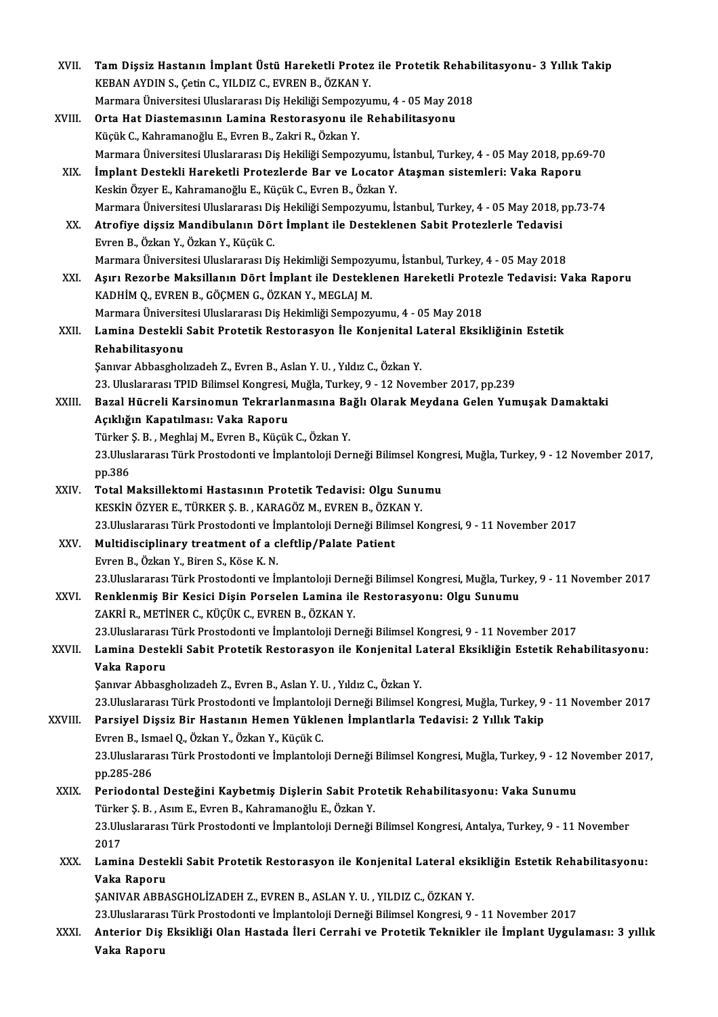| XVII.   | Tam Dişsiz Hastanın İmplant Üstü Hareketli Protez ile Protetik Rehabilitasyonu- 3 Yıllık Takip                                                                                                        |
|---------|-------------------------------------------------------------------------------------------------------------------------------------------------------------------------------------------------------|
|         | KEBAN AYDIN S., Çetin C., YILDIZ C., EVREN B., ÖZKAN Y.                                                                                                                                               |
|         | Marmara Üniversitesi Uluslararası Diş Hekiliği Sempozyumu, 4 - 05 May 2018                                                                                                                            |
| XVIII.  | Orta Hat Diastemasının Lamina Restorasyonu ile Rehabilitasyonu                                                                                                                                        |
|         | Küçük C., Kahramanoğlu E., Evren B., Zakri R., Özkan Y.                                                                                                                                               |
|         | Marmara Üniversitesi Uluslararası Diş Hekiliği Sempozyumu, İstanbul, Turkey, 4 - 05 May 2018, pp.69-70                                                                                                |
| XIX.    | İmplant Destekli Hareketli Protezlerde Bar ve Locator Ataşman sistemleri: Vaka Raporu                                                                                                                 |
|         | Keskin Özyer E., Kahramanoğlu E., Küçük C., Evren B., Özkan Y.                                                                                                                                        |
|         | Marmara Üniversitesi Uluslararası Diş Hekiliği Sempozyumu, İstanbul, Turkey, 4 - 05 May 2018, pp.73-74                                                                                                |
| XX.     | Atrofiye dişsiz Mandibulanın Dört İmplant ile Desteklenen Sabit Protezlerle Tedavisi                                                                                                                  |
|         | Evren B., Özkan Y., Özkan Y., Küçük C.                                                                                                                                                                |
|         | Marmara Üniversitesi Uluslararası Diş Hekimliği Sempozyumu, İstanbul, Turkey, 4 - 05 May 2018                                                                                                         |
| XXI.    | Aşırı Rezorbe Maksillanın Dört İmplant ile Desteklenen Hareketli Protezle Tedavisi: Vaka Raporu                                                                                                       |
|         | KADHİM Q., EVREN B., GÖÇMEN G., ÖZKAN Y., MEGLAJ M.                                                                                                                                                   |
|         | Marmara Üniversitesi Uluslararası Diş Hekimliği Sempozyumu, 4 - 05 May 2018                                                                                                                           |
| XXII.   | Lamina Destekli Sabit Protetik Restorasyon İle Konjenital Lateral Eksikliğinin Estetik                                                                                                                |
|         | Rehabilitasyonu                                                                                                                                                                                       |
|         | Şanıvar Abbasgholızadeh Z., Evren B., Aslan Y. U., Yıldız C., Özkan Y.                                                                                                                                |
|         | 23. Uluslararası TPID Bilimsel Kongresi, Muğla, Turkey, 9 - 12 November 2017, pp.239                                                                                                                  |
| XXIII.  | Bazal Hücreli Karsinomun Tekrarlanmasına Bağlı Olarak Meydana Gelen Yumuşak Damaktaki                                                                                                                 |
|         | Açıklığın Kapatılması: Vaka Raporu                                                                                                                                                                    |
|         | Türker Ş. B., Meghlaj M., Evren B., Küçük C., Özkan Y.                                                                                                                                                |
|         | 23.Uluslararası Türk Prostodonti ve İmplantoloji Derneği Bilimsel Kongresi, Muğla, Turkey, 9 - 12 November 2017,                                                                                      |
|         | pp 386                                                                                                                                                                                                |
| XXIV.   | Total Maksillektomi Hastasının Protetik Tedavisi: Olgu Sunumu                                                                                                                                         |
|         | KESKİN ÖZYER E., TÜRKER Ş. B., KARAGÖZ M., EVREN B., ÖZKAN Y.                                                                                                                                         |
|         | 23. Uluslararası Türk Prostodonti ve İmplantoloji Derneği Bilimsel Kongresi, 9 - 11 November 2017                                                                                                     |
| XXV.    | Multidisciplinary treatment of a cleftlip/Palate Patient                                                                                                                                              |
|         | Evren B., Ozkan Y., Biren S., Köse K. N                                                                                                                                                               |
|         | 23. Uluslararası Türk Prostodonti ve İmplantoloji Derneği Bilimsel Kongresi, Muğla, Turkey, 9 - 11 November 2017                                                                                      |
| XXVI.   | Renklenmiş Bir Kesici Dişin Porselen Lamina ile Restorasyonu: Olgu Sunumu                                                                                                                             |
|         | ZAKRİ R., METİNER C., KÜÇÜK C., EVREN B., ÖZKAN Y.                                                                                                                                                    |
|         | 23. Uluslararası Türk Prostodonti ve İmplantoloji Derneği Bilimsel Kongresi, 9 - 11 November 2017                                                                                                     |
| XXVII.  | Lamina Destekli Sabit Protetik Restorasyon ile Konjenital Lateral Eksikliğin Estetik Rehabilitasyonu:                                                                                                 |
|         | Vaka Raporu<br>Şanıvar Abbasgholızadeh Z., Evren B., Aslan Y. U., Yıldız C., Özkan Y.                                                                                                                 |
|         |                                                                                                                                                                                                       |
| XXVIII. | 23. Uluslararası Türk Prostodonti ve İmplantoloji Derneği Bilimsel Kongresi, Muğla, Turkey, 9 - 11 November 2017<br>Parsiyel Dişsiz Bir Hastanın Hemen Yüklenen İmplantlarla Tedavisi: 2 Yıllık Takip |
|         | Evren B., Ismael Q., Özkan Y., Özkan Y., Küçük C.                                                                                                                                                     |
|         | 23.Uluslararası Türk Prostodonti ve İmplantoloji Derneği Bilimsel Kongresi, Muğla, Turkey, 9 - 12 November 2017,                                                                                      |
|         | pp 285-286                                                                                                                                                                                            |
| XXIX.   | Periodontal Desteğini Kaybetmiş Dişlerin Sabit Protetik Rehabilitasyonu: Vaka Sunumu                                                                                                                  |
|         | Türker Ş. B., Asım E., Evren B., Kahramanoğlu E., Özkan Y.                                                                                                                                            |
|         | 23.Uluslararası Türk Prostodonti ve İmplantoloji Derneği Bilimsel Kongresi, Antalya, Turkey, 9 - 11 November                                                                                          |
|         | 2017                                                                                                                                                                                                  |
| XXX.    | Lamina Destekli Sabit Protetik Restorasyon ile Konjenital Lateral eksikliğin Estetik Rehabilitasyonu:                                                                                                 |
|         | Vaka Raporu                                                                                                                                                                                           |
|         | ŞANIVAR ABBASGHOLİZADEH Z., EVREN B., ASLAN Y. U., YILDIZ C., ÖZKAN Y.                                                                                                                                |
|         | 23. Uluslararası Türk Prostodonti ve İmplantoloji Derneği Bilimsel Kongresi, 9 - 11 November 2017                                                                                                     |
| XXXI.   | Anterior Diş Eksikliği Olan Hastada İleri Cerrahi ve Protetik Teknikler ile İmplant Uygulaması: 3 yıllık                                                                                              |
|         | Vaka Raporu                                                                                                                                                                                           |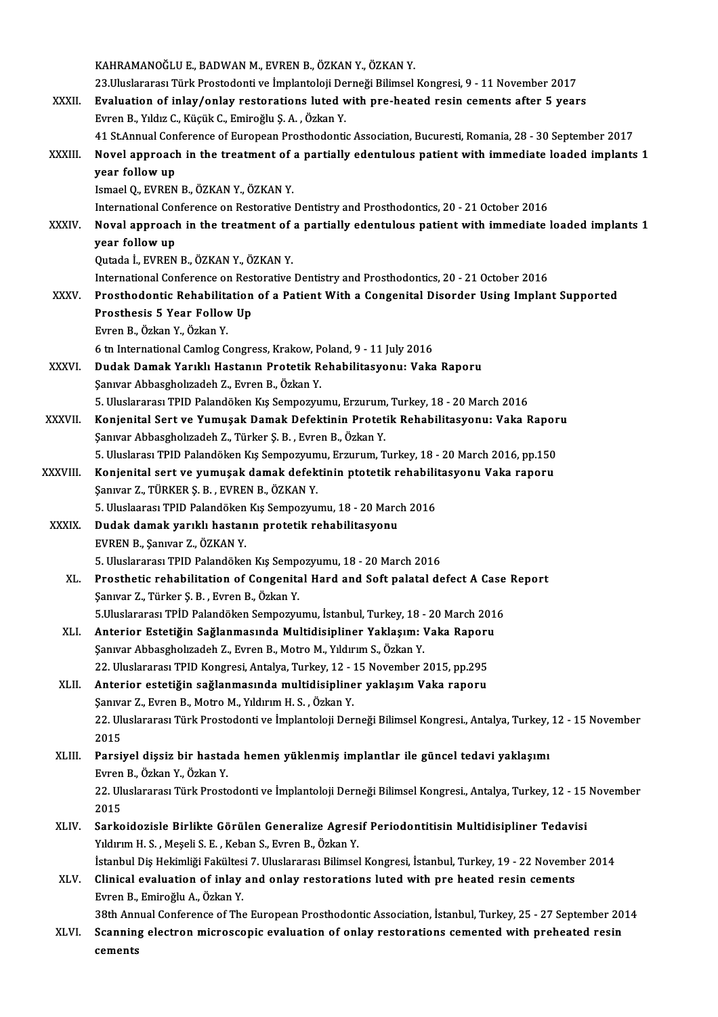KAHRAMANOĞLU E., BADWAN M., EVREN B., ÖZKAN Y., ÖZKAN Y. 23.<br>23.Uluslararası Türk Prostodonti ve İmplantoloji Derneği Bilimsel Kongresi, 9 - 11 November 2017<br>Fyalustian of inlay (onlay nastarationa luted with nua basted nasin samanta aftan E year XXXII. Evaluation of inlay/onlay restorations luted with pre-heated resin cements after 5 years<br>Evren B., Yıldız C., Küçük C., Emiroğlu Ş. A., Özkan Y. 23.Uluslararası Türk Prostodonti ve İmplantoloji De<br>**Evaluation of inlay/onlay restorations luted v**<br>Evren B., Yıldız C., Küçük C., Emiroğlu Ş. A. , Özkan Y.<br>41.St Annual Conference of European Prosthodonti Evaluation of inlay/onlay restorations luted with pre-heated resin cements after 5 years<br>Evren B., Yıldız C., Küçük C., Emiroğlu Ş. A. , Özkan Y.<br>41 St.Annual Conference of European Prosthodontic Association, Bucuresti, Ro Evren B., Yıldız C., Küçük C., Emiroğlu Ş. A. , Özkan Y.<br>41 St.Annual Conference of European Prosthodontic Association, Bucuresti, Romania, 28 - 30 September 2017<br>XXXIII. Novel approach in the treatment of a partially eden 41 St.Annual Con<br>Novel approach<br>year follow up<br>Ismael O. EVPEN Novel approach in the treatment of<br>year follow up<br>Ismael Q., EVREN B., ÖZKAN Y., ÖZKAN Y.<br>International Conference on Pecterative year follow up<br>Ismael Q., EVREN B., ÖZKAN Y., ÖZKAN Y.<br>International Conference on Restorative Dentistry and Prosthodontics, 20 - 21 October 2016 Ismael Q., EVREN B., ÖZKAN Y., ÖZKAN Y.<br>International Conference on Restorative Dentistry and Prosthodontics, 20 - 21 October 2016<br>XXXIV. Noval approach in the treatment of a partially edentulous patient with immediate loa International Co<mark>n</mark><br>Noval approach<br>year follow up<br><sup>Outodo</sub> i EVPEN</sup> Noval approach in the treatment of<br>year follow up<br>Qutada İ., EVREN B., ÖZKAN Y., ÖZKAN Y.<br>International Conference en Besterative year follow up<br>Qutada İ., EVREN B., ÖZKAN Y., ÖZKAN Y.<br>International Conference on Restorative Dentistry and Prosthodontics, 20 - 21 October 2016 Qutada İ., EVREN B., ÖZKAN Y., ÖZKAN Y.<br>International Conference on Restorative Dentistry and Prosthodontics, 20 - 21 October 2016<br>XXXV. Prosthodontic Rehabilitation of a Patient With a Congenital Disorder Using Implan International Conference on Rest<br>Prosthodontic Rehabilitation<br>Prosthesis 5 Year Follow Up<br>Euron B. Örkan V. Örkan V. Prosthodontic Rehabilita<br>Prosthesis 5 Year Follov<br>Evren B., Özkan Y., Özkan Y.<br>6 ta International Camles C Prosthesis 5 Year Follow Up<br>Evren B., Özkan Y., Özkan Y.<br>6 tn International Camlog Congress, Krakow, Poland, 9 - 11 July 2016 XXXVI. Dudak Damak Yarıklı Hastanın Protetik Rehabilitasyonu: Vaka Raporu Şanıvar Abbasgholızadeh Z., Evren B., Özkan Y. Dudak Damak Yarıklı Hastanın Protetik Rehabilitasyonu: Vaka Raporu<br>Şanıvar Abbasgholızadeh Z., Evren B., Özkan Y.<br>5. Uluslararası TPID Palandöken Kış Sempozyumu, Erzurum, Turkey, 18 - 20 March 2016<br>Konionital Sert ve Yumus XXXVII. Konjenital Sert ve Yumuşak Damak Defektinin Protetik Rehabilitasyonu: Vaka Raporu<br>Şanıvar Abbasgholızadeh Z., Türker Ş. B., Evren B., Özkan Y. 5. Uluslararası TPID Palandöken Kış Sempozyumu, Erzurum<br>**Konjenital Sert ve Yumuşak Damak Defektinin Protet**<br>Şanıvar Abbasgholızadeh Z., Türker Ş. B. , Evren B., Özkan Y.<br>5. Uluslarası TPID Palandöken Kış Sempozyumu, Erzur Konjenital Sert ve Yumuşak Damak Defektinin Protetik Rehabilitasyonu: Vaka Rapor<br>Şanıvar Abbasgholızadeh Z., Türker Ş. B. , Evren B., Özkan Y.<br>5. Uluslarası TPID Palandöken Kış Sempozyumu, Erzurum, Turkey, 18 - 20 March 20 Sanıvar Abbasgholızadeh Z., Türker Ş. B. , Evren B., Özkan Y.<br>5. Uluslarası TPID Palandöken Kış Sempozyumu, Erzurum, Turkey, 18 - 20 March 2016, pp.150<br>XXXVIII. Konjenital sert ve yumuşak damak defektinin ptotetik rehabili 5. Uluslarası TPID Palandöken Kış Sempozyum<br>**Konjenital sert ve yumuşak damak defek**<br>Şanıvar Z., TÜRKER Ş. B. , EVREN B., ÖZKAN Y.<br>E. Uluslasıscı TBID Palandökan *V.*s Sempozuv. Konjenital sert ve yumuşak damak defektinin ptotetik rehabili<br>Şanıvar Z., TÜRKER Ş. B. , EVREN B., ÖZKAN Y.<br>5. Uluslaarası TPID Palandöken Kış Sempozyumu, 18 - 20 March 2016<br>Dudak damak yarıklı bastanın pretetik rehabilita Şanıvar Z., TÜRKER Ş. B. , EVREN B., ÖZKAN Y.<br>5. Uluslaarası TPID Palandöken Kış Sempozyumu, 18 - 20 Marc<br>XXXIX. Dudak damak yarıklı hastanın protetik rehabilitasyonu<br>EVPEN B. Sonwar Z. ÖZKAN Y. 5. Uluslaarası TPID Palandöken<br>Dudak damak yarıklı hastan<br>EVREN B., Şanıvar Z., ÖZKAN Y.<br>5. Uluslararası TPID Palandökan Dudak damak yarıklı hastanın protetik rehabilitasyonu<br>EVREN B., Şanıvar Z., ÖZKAN Y.<br>5. Uluslararası TPID Palandöken Kış Sempozyumu, 18 - 20 March 2016<br>Prosthetis rehabilitation of Congenital Hard and Seft palatal de EVREN B., Şanıvar Z., ÖZKAN Y.<br>5. Uluslararası TPID Palandöken Kış Sempozyumu, 18 - 20 March 2016<br>XL. Prosthetic rehabilitation of Congenital Hard and Soft palatal defect A Case Report<br>Sanıvar Z., Türker S. B., Evren B., Ö 5. Uluslararası TPID Palandöken Kış Sempe<br>Prosthetic rehabilitation of Congenita<br>Şanıvar Z., Türker Ş. B. , Evren B., Özkan Y.<br>5. Uluslararası TPİD Palandökan Semperun Prosthetic rehabilitation of Congenital Hard and Soft palatal defect A Case<br>Sanıvar Z., Türker Ş. B. , Evren B., Özkan Y.<br>5.Uluslararası TPİD Palandöken Sempozyumu, İstanbul, Turkey, 18 - 20 March 2016<br>Antenion Estetiğin S Şanıvar Z., Türker Ş. B. , Evren B., Özkan Y.<br>5.Uluslararası TPİD Palandöken Sempozyumu, İstanbul, Turkey, 18 - 20 March 201<br>XLI. Anterior Estetiğin Sağlanmasında Multidisipliner Yaklaşım: Vaka Raporu<br>Sanuar Abbassbalızada 5.Uluslararası TPİD Palandöken Sempozyumu, İstanbul, Turkey, 18 -<br>Anterior Estetiğin Sağlanmasında Multidisipliner Yaklaşım: 1<br>Şanıvar Abbasgholızadeh Z., Evren B., Motro M., Yıldırım S., Özkan Y.<br>22. Uluslararası TBID Kan Anterior Estetiğin Sağlanmasında Multidisipliner Yaklaşım: Vaka Raporu<br>Şanıvar Abbasgholızadeh Z., Evren B., Motro M., Yıldırım S., Özkan Y.<br>22. Uluslararası TPID Kongresi, Antalya, Turkey, 12 - 15 November 2015, pp.295<br>An Şanıvar Abbasgholızadeh Z., Evren B., Motro M., Yıldırım S., Özkan Y.<br>22. Uluslararası TPID Kongresi, Antalya, Turkey, 12 - 15 November 2015, pp.295<br>XLII. Anterior estetiğin sağlanmasında multidisipliner yaklaşım Vaka rapo 22. Uluslararası TPID Kongresi, Antalya, Turkey, 12 - :<br><mark>Anterior estetiğin sağlanmasında multidisipline</mark><br>Şanıvar Z., Evren B., Motro M., Yıldırım H. S. , Özkan Y.<br>22. Uluslararası Türk Prestedenti ve İmplanteleji Der Anterior estetiğin sağlanmasında multidisipliner yaklaşım Vaka raporu<br>Şanıvar Z., Evren B., Motro M., Yıldırım H. S. , Özkan Y.<br>22. Uluslararası Türk Prostodonti ve İmplantoloji Derneği Bilimsel Kongresi., Antalya, Turkey, Saniva<br>22. Uli<br>2015<br>Parsi 22. Uluslararası Türk Prostodonti ve İmplantoloji Derneği Bilimsel Kongresi., Antalya, Turkey,<br>2015<br>XLIII. Parsiyel dişsiz bir hastada hemen yüklenmiş implantlar ile güncel tedavi yaklaşımı<br>Euron B. Özkan X. Özkan V. 2015<br>Parsiyel dişsiz bir hastaq<br>Evren B., Özkan Y., Özkan Y.<br>22. Uluslararası Türk Presta Parsiyel dişsiz bir hastada hemen yüklenmiş implantlar ile güncel tedavi yaklaşımı<br>Evren B., Özkan Y., Özkan Y.<br>22. Uluslararası Türk Prostodonti ve İmplantoloji Derneği Bilimsel Kongresi., Antalya, Turkey, 12 - 15 Novembe Evren<br>22. Uli<br>2015<br>Sorks 22. Uluslararası Türk Prostodonti ve İmplantoloji Derneği Bilimsel Kongresi., Antalya, Turkey, 12 - 15<br>2015<br>XLIV. Sarkoidozisle Birlikte Görülen Generalize Agresif Periodontitisin Multidisipliner Tedavisi 2015<br>Sarkoidozisle Birlikte Görülen Generalize Agresif Periodontitisin Multidisipliner Tedavisi<br>Yıldırım H. S. , Meşeli S. E. , Keban S., Evren B., Özkan Y. İstanbul Diş Hekimliği Fakültesi 7. Uluslararası Bilimsel Kongresi, İstanbul, Turkey, 19 - 22 November 2014 Yıldırım H. S. , Meşeli S. E. , Keban S., Evren B., Özkan Y.<br>İstanbul Diş Hekimliği Fakültesi 7. Uluslararası Bilimsel Kongresi, İstanbul, Turkey, 19 - 22 November XLV.<br>XLV. Clinical evaluation of inlay and onlay restorati İstanbul Diş Hekimliği Fakültes<br>Clinical evaluation of inlay<br>Evren B., Emiroğlu A., Özkan Y.<br><sup>20th Annual Conference of The</sup> Clinical evaluation of inlay and onlay restorations luted with pre heated resin cements<br>Evren B., Emiroğlu A., Özkan Y.<br>38th Annual Conference of The European Prosthodontic Association, İstanbul, Turkey, 25 - 27 September Evren B., Emiroğlu A., Özkan Y.<br>38th Annual Conference of The European Prosthodontic Association, İstanbul, Turkey, 25 - 27 September 20<br>XLVI. Scanning electron microscopic evaluation of onlay restorations cemented with pr 38th Ann<br>Scannin<sub>!</sub><br>cements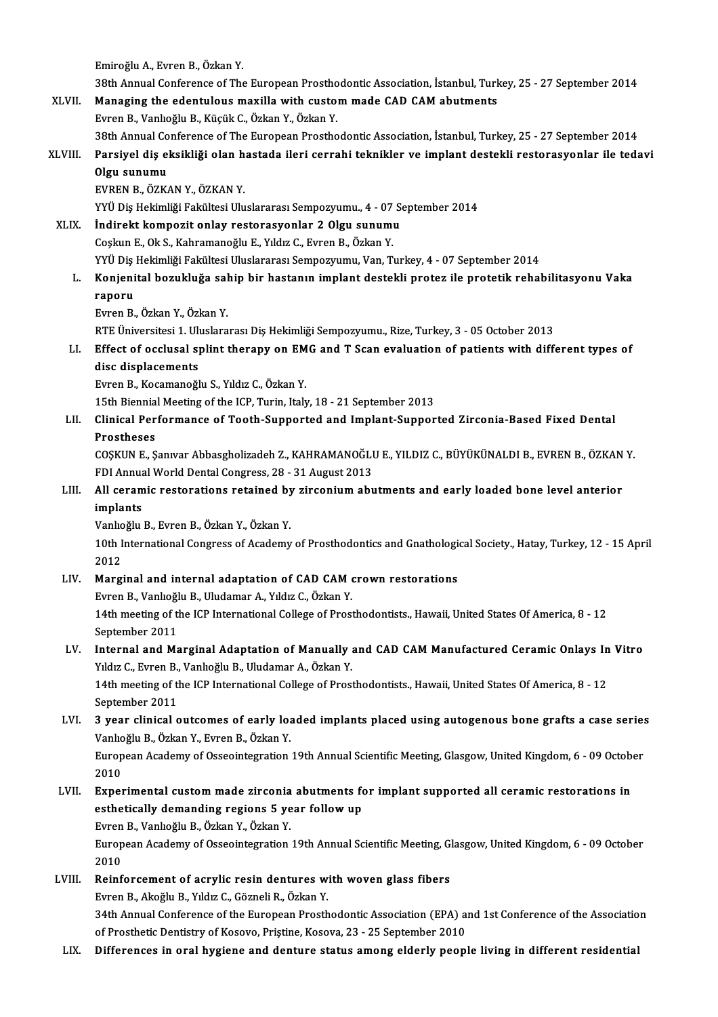EmiroğluA.,EvrenB.,ÖzkanY.

Emiroğlu A., Evren B., Özkan Y.<br>38th Annual Conference of The European Prosthodontic Association, İstanbul, Turkey, 25 - 27 September 2014<br>Managing the adentuleus maville uith sustem made GAD GAM abutments Emiroğlu A., Evren B., Özkan Y.<br>38th Annual Conference of The European Prosthodontic Association, İstanbul, Turk<br>XLVII. Managing the edentulous maxilla with custom made CAD CAM abutments Managing the edentulous maxilla with custom made CAD CAM abutments<br>Evren B., Vanlıoğlu B., Küçük C., Özkan Y., Özkan Y. Managing the edentulous maxilla with custom made CAD CAM abutments<br>Evren B., Vanlıoğlu B., Küçük C., Özkan Y., Özkan Y.<br>38th Annual Conference of The European Prosthodontic Association, İstanbul, Turkey, 25 - 27 September

Evren B., Vanlıoğlu B., Küçük C., Özkan Y., Özkan Y.<br>38th Annual Conference of The European Prosthodontic Association, İstanbul, Turkey, 25 - 27 September 2014<br>XLVIII. Parsiyel diş eksikliği olan hastada ileri cerrahi 38th Annual Co<br>Parsiyel diş e<br>Olgu sunumu<br>EVPEN P. ÖZK Parsiyel diş eksikliği olan h<br>Olgu sunumu<br>EVREN B., ÖZKAN Y., ÖZKAN Y.<br>VVÜ Diş Hokimliği Fokültesi III. 0lgu sunumu<br>EVREN B., ÖZKAN Y., ÖZKAN Y.<br>YYÜ Dis Hekimliği Fakültesi Uluslararası Sempozyumu., 4 - 07 September 2014

EVREN B., ÖZKAN Y., ÖZKAN Y.<br>YYÜ Diş Hekimliği Fakültesi Uluslararası Sempozyumu., 4 - 07 S.<br>XLIX. İndirekt kompozit onlay restorasyonlar 2 Olgu sunumu YYÜ Diş Hekimliği Fakültesi Uluslararası Sempozyumu., 4 - 07<br>İndirekt kompozit onlay restorasyonlar 2 Olgu sunumı<br>Coşkun E., Ok S., Kahramanoğlu E., Yıldız C., Evren B., Özkan Y.<br>YYÜ Diş Hekimliği Fakültesi Uluslararası Se Coşkun E., Ok S., Kahramanoğlu E., Yıldız C., Evren B., Özkan Y.<br>YYÜ Diş Hekimliği Fakültesi Uluslararası Sempozyumu, Van, Turkey, 4 - 07 September 2014 Coşkun E., Ok S., Kahramanoğlu E., Yıldız C., Evren B., Özkan Y.<br>YYÜ Diş Hekimliği Fakültesi Uluslararası Sempozyumu, Van, Turkey, 4 - 07 September 2014<br>L. Konjenital bozukluğa sahip bir hastanın implant destekli protez il

YYÜ Diş<br>Konjeni<br>raporu<br><sup>Fyron P</sup> raporu<br>Evren B., Özkan Y., Özkan Y.

RTEÜniversitesi1.UluslararasıDişHekimliğiSempozyumu.,Rize,Turkey,3 -05October 2013

## Evren B., Özkan Y., Özkan Y.<br>RTE Üniversitesi 1. Uluslararası Diş Hekimliği Sempozyumu., Rize, Turkey, 3 - 05 October 2013<br>LI. Effect of occlusal splint therapy on EMG and T Scan evaluation of patients with different types RTE Üniversitesi 1. Ulum<br>Effect of occlusal s<br>disc displacements<br>Euron B. Kosamanoğl disc displacements<br>Evren B., Kocamanoğlu S., Yıldız C., Özkan Y. disc displacements<br>Evren B., Kocamanoğlu S., Yıldız C., Özkan Y.<br>15th Biennial Meeting of the ICP, Turin, Italy, 18 - 21 September 2013<br>Gliniaal Barformange of Teath, Sunnanted and Implant Sunnan

LII. Clinical Performance of Tooth-Supported and Implant-Supported Zirconia-Based Fixed Dental<br>Prostheses 15th Biennia<br>Clinical Per<br>Prostheses<br>COSKIIN E. S Clinical Performance of Tooth-Supported and Implant-Supported Zirconia-Based Fixed Dental<br>Prostheses<br>COŞKUN E., Şanıvar Abbasgholizadeh Z., KAHRAMANOĞLU E., YILDIZ C., BÜYÜKÜNALDI B., EVREN B., ÖZKAN Y.<br>EDI Annual Werld De

Prostheses<br>COŞKUN E., Şanıvar Abbasgholizadeh Z., KAHRAMANOĞLI<br>FDI Annual World Dental Congress, 28 - 31 August 2013<br>All coramis restarations retained by girsenium abu COSKUN E., Şanıvar Abbasgholizadeh Z., KAHRAMANOĞLU E., YILDIZ C., BÜYÜKÜNALDI B., EVREN B., ÖZKAN<br>FDI Annual World Dental Congress, 28 - 31 August 2013<br>LIII. All ceramic restorations retained by zirconium abutments an

### FDI Annual World Dental Congress, 28 - 31 August 2013<br>All ceramic restorations retained by zirconium abumplants LIII. All ceramic restorations retained by zirconium abutments and early loaded bone level anterior

Vanlıoğlu B., Evren B., Özkan Y., Özkan Y.

10th International Congress of Academy of Prosthodontics and Gnathological Society., Hatay, Turkey, 12 - 15 April<br>2012 10th International Congress of Academy of Prosthodontics and Gnathologie<br>2012<br>LIV. Marginal and internal adaptation of CAD CAM crown restorations<br>Erman B. Vanhağlu B. Uludamar A. Vulur C. Özkan V.

2012<br>**Marginal and internal adaptation of CAD CAM (**<br>Evren B., Vanlıoğlu B., Uludamar A., Yıldız C., Özkan Y.<br>14th mesting of the JCB International Cellege of Bresi Marginal and internal adaptation of CAD CAM crown restorations<br>Evren B., Vanlıoğlu B., Uludamar A., Yıldız C., Özkan Y.<br>14th meeting of the ICP International College of Prosthodontists., Hawaii, United States Of America, 8 Evren B., Vanlioğl<br>14th meeting of the<br>September 2011<br>Internal and Me 14th meeting of the ICP International College of Prosthodontists., Hawaii, United States Of America, 8 - 12<br>September 2011<br>LV. Internal and Marginal Adaptation of Manually and CAD CAM Manufactured Ceramic Onlays In Vitro<br>V

## September 2011<br>Internal and Marginal Adaptation of Manually :<br>Yıldız C., Evren B., Vanlıoğlu B., Uludamar A., Özkan Y.<br>14th meeting of the JCB International College of Bresi Internal and Marginal Adaptation of Manually and CAD CAM Manufactured Ceramic Onlays In<br>Yıldız C., Evren B., Vanlıoğlu B., Uludamar A., Özkan Y.<br>14th meeting of the ICP International College of Prosthodontists., Hawaii, Un

Yıldız C., Evren B., Vanlıoğlu B., Uludamar A., Özkan Y.<br>14th meeting of the ICP International College of Prosthodontists., Hawaii, United States Of America, 8 - 12<br>September 2011 14th meeting of the ICP International College of Prosthodontists., Hawaii, United States Of America, 8 - 12<br>September 2011<br>LVI. 3 year clinical outcomes of early loaded implants placed using autogenous bone grafts a case s

September 2011<br>3 year clinical outcomes of early loa<br>Vanlıoğlu B., Özkan Y., Evren B., Özkan Y.<br>Euronean Acedemy of Osseeintegration 3 year clinical outcomes of early loaded implants placed using autogenous bone grafts a case serie:<br>Vanlıoğlu B., Özkan Y., Evren B., Özkan Y.<br>European Academy of Osseointegration 19th Annual Scientific Meeting, Glasgow, U Vanlıoğlu B., Özkan Y., Evren B., Özkan Y.<br>European Academy of Osseointegration 19th Annual Scientific Meeting, Glasgow, United Kingdom, 6 - 09 October<br>2010

## European Academy of Osseointegration 19th Annual Scientific Meeting, Glasgow, United Kingdom, 6 - 09 Octob<br>2010<br>LVII. Experimental custom made zirconia abutments for implant supported all ceramic restorations in<br>20thatical 2010<br>Experimental custom made zirconia abutments fo<br>esthetically demanding regions 5 year follow up<br>Euren B. Venlieğlu B. Özkan V. Özkan V. Experimental custom made zirconia<br>esthetically demanding regions 5 ye<br>Evren B., Vanlıoğlu B., Özkan Y., Özkan Y.<br>Euronean Acedemy of Ossesintegration

Evren B., Vanlıoğlu B., Özkan Y., Özkan Y.

esthetically demanding regions 5 year follow up<br>Evren B., Vanlıoğlu B., Özkan Y., Özkan Y.<br>European Academy of Osseointegration 19th Annual Scientific Meeting, Glasgow, United Kingdom, 6 - 09 October<br>2010

### LVIII. Reinforcement of acrylic resin dentures with woven glass fibers EvrenB.,AkoğluB.,YıldızC.,GözneliR.,ÖzkanY.

34th Annual Conference of the European Prosthodontic Association (EPA) and 1st Conference of the Association of Prosthetic Dentistry of Kosovo, Priștine, Kosova, 23 - 25 September 2010

LIX. Differences in oral hygiene and denture status among elderly people living in different residential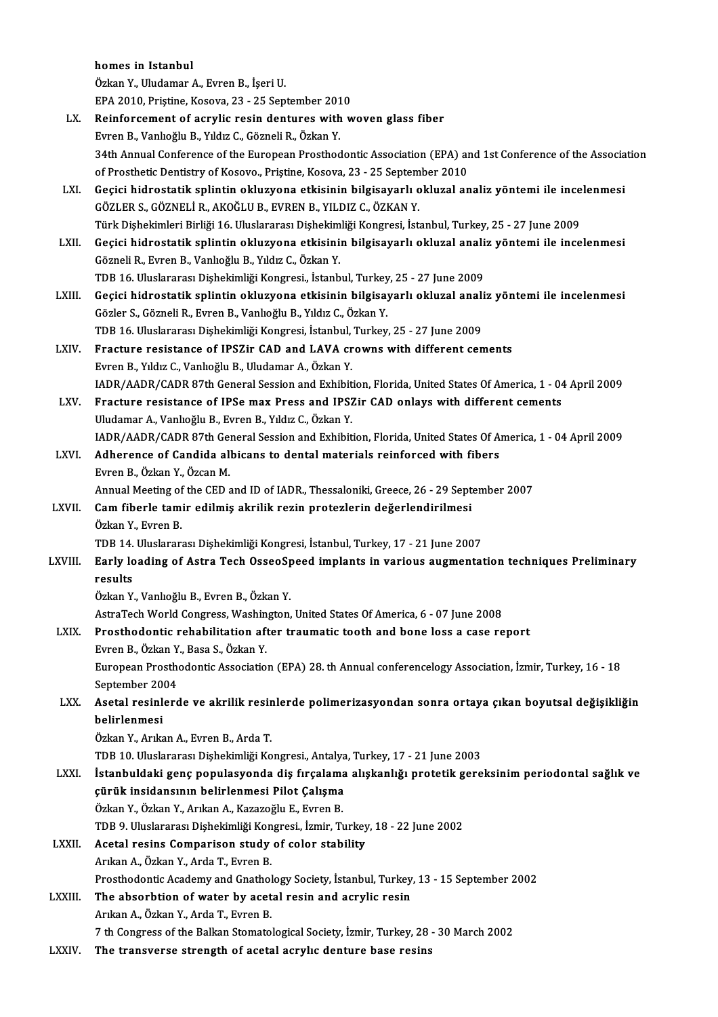| homes in Istanbul |
|-------------------|
| Örken V. Uludeman |

homes in Istanbul<br>Özkan Y., Uludamar A., Evren B., İşeri U.<br>EPA 2010 Pristine Kosevr 22 - 25 Sen

homes in Istanbul<br>Özkan Y., Uludamar A., Evren B., İşeri U.<br>EPA 2010, Priştine, Kosova, 23 - 25 September 2010<br>Beinforsement ef asıyliş resin dentures with v.

|              | Özkan Y., Uludamar A., Evren B., İşeri U.                                                                    |
|--------------|--------------------------------------------------------------------------------------------------------------|
|              | EPA 2010, Priștine, Kosova, 23 - 25 September 2010                                                           |
| LX.          | Reinforcement of acrylic resin dentures with woven glass fiber                                               |
|              | Evren B., Vanlıoğlu B., Yıldız C., Gözneli R., Özkan Y.                                                      |
|              | 34th Annual Conference of the European Prosthodontic Association (EPA) and 1st Conference of the Association |
|              | of Prosthetic Dentistry of Kosovo., Pristine, Kosova, 23 - 25 September 2010                                 |
| LXI.         | Geçici hidrostatik splintin okluzyona etkisinin bilgisayarlı okluzal analiz yöntemi ile incelenmesi          |
|              | GÖZLER S., GÖZNELİ R., AKOĞLU B., EVREN B., YILDIZ C., ÖZKAN Y.                                              |
|              | Türk Dişhekimleri Birliği 16. Uluslararası Dişhekimliği Kongresi, İstanbul, Turkey, 25 - 27 June 2009        |
| LXII.        | Geçici hidrostatik splintin okluzyona etkisinin bilgisayarlı okluzal analiz yöntemi ile incelenmesi          |
|              | Gözneli R., Evren B., Vanlıoğlu B., Yıldız C., Özkan Y.                                                      |
|              | TDB 16. Uluslararası Dişhekimliği Kongresi., İstanbul, Turkey, 25 - 27 June 2009                             |
| LXIII.       | Geçici hidrostatik splintin okluzyona etkisinin bilgisayarlı okluzal analiz yöntemi ile incelenmesi          |
|              | Gözler S., Gözneli R., Evren B., Vanlıoğlu B., Yıldız C., Özkan Y.                                           |
|              | TDB 16. Uluslararası Dişhekimliği Kongresi, İstanbul, Turkey, 25 - 27 June 2009                              |
| LXIV.        | Fracture resistance of IPSZir CAD and LAVA crowns with different cements                                     |
|              | Evren B., Yıldız C., Vanlıoğlu B., Uludamar A., Özkan Y.                                                     |
|              | IADR/AADR/CADR 87th General Session and Exhibition, Florida, United States Of America, 1 - 04 April 2009     |
| LXV.         | Fracture resistance of IPSe max Press and IPSZir CAD onlays with different cements                           |
|              | Uludamar A., Vanlıoğlu B., Evren B., Yıldız C., Özkan Y.                                                     |
|              | IADR/AADR/CADR 87th General Session and Exhibition, Florida, United States Of America, 1 - 04 April 2009     |
| LXVI.        | Adherence of Candida albicans to dental materials reinforced with fibers                                     |
|              | Evren B., Özkan Y., Özcan M.                                                                                 |
|              | Annual Meeting of the CED and ID of IADR., Thessaloniki, Greece, 26 - 29 September 2007                      |
| <b>LXVII</b> | Cam fiberle tamir edilmiş akrilik rezin protezlerin değerlendirilmesi                                        |
|              | Özkan Y., Evren B.                                                                                           |
|              | TDB 14. Uluslararası Dişhekimliği Kongresi, İstanbul, Turkey, 17 - 21 June 2007                              |
| LXVIII.      | Early loading of Astra Tech OsseoSpeed implants in various augmentation techniques Preliminary               |
|              | results                                                                                                      |
|              | Özkan Y., Vanlıoğlu B., Evren B., Özkan Y.                                                                   |
|              | AstraTech World Congress, Washington, United States Of America, 6 - 07 June 2008                             |
| LXIX.        | Prosthodontic rehabilitation after traumatic tooth and bone loss a case report                               |
|              | Evren B., Özkan Y., Basa S., Özkan Y.                                                                        |
|              | European Prosthodontic Association (EPA) 28. th Annual conferencelogy Association, İzmir, Turkey, 16 - 18    |
|              | September 2004                                                                                               |
| LXX.         | Asetal resinlerde ve akrilik resinlerde polimerizasyondan sonra ortaya çıkan boyutsal değişikliğin           |
|              | belirlenmesi                                                                                                 |
|              | Özkan Y., Arıkan A., Evren B., Arda T.                                                                       |
|              | TDB 10. Uluslararası Dişhekimliği Kongresi., Antalya, Turkey, 17 - 21 June 2003                              |
| LXXI.        | İstanbuldaki genç populasyonda diş fırçalama alışkanlığı protetik gereksinim periodontal sağlık ve           |
|              | çürük insidansının belirlenmesi Pilot Çalışma                                                                |
|              | Özkan Y., Özkan Y., Arıkan A., Kazazoğlu E., Evren B.                                                        |
|              | TDB 9. Uluslararası Dişhekimliği Kongresi., İzmir, Turkey, 18 - 22 June 2002                                 |
| LXXII.       | Acetal resins Comparison study of color stability                                                            |
|              | Arıkan A., Özkan Y., Arda T., Evren B.                                                                       |
|              | Prosthodontic Academy and Gnathology Society, İstanbul, Turkey, 13 - 15 September 2002                       |
| LXXIII.      | The absorbtion of water by acetal resin and acrylic resin                                                    |
|              | Arıkan A., Özkan Y., Arda T., Evren B.                                                                       |
|              | 7 th Congress of the Balkan Stomatological Society, İzmir, Turkey, 28 - 30 March 2002                        |
| LXXIV.       | The transverse strength of acetal acrylic denture base resins                                                |
|              |                                                                                                              |